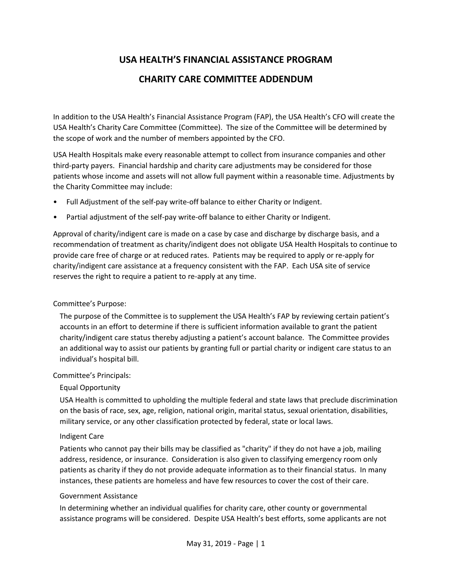# **USA HEALTH'S FINANCIAL ASSISTANCE PROGRAM**

## **CHARITY CARE COMMITTEE ADDENDUM**

In addition to the USA Health's Financial Assistance Program (FAP), the USA Health's CFO will create the USA Health's Charity Care Committee (Committee). The size of the Committee will be determined by the scope of work and the number of members appointed by the CFO.

USA Health Hospitals make every reasonable attempt to collect from insurance companies and other third-party payers. Financial hardship and charity care adjustments may be considered for those patients whose income and assets will not allow full payment within a reasonable time. Adjustments by the Charity Committee may include:

- Full Adjustment of the self-pay write-off balance to either Charity or Indigent.
- Partial adjustment of the self-pay write-off balance to either Charity or Indigent.

Approval of charity/indigent care is made on a case by case and discharge by discharge basis, and a recommendation of treatment as charity/indigent does not obligate USA Health Hospitals to continue to provide care free of charge or at reduced rates. Patients may be required to apply or re-apply for charity/indigent care assistance at a frequency consistent with the FAP. Each USA site of service reserves the right to require a patient to re-apply at any time.

#### Committee's Purpose:

The purpose of the Committee is to supplement the USA Health's FAP by reviewing certain patient's accounts in an effort to determine if there is sufficient information available to grant the patient charity/indigent care status thereby adjusting a patient's account balance. The Committee provides an additional way to assist our patients by granting full or partial charity or indigent care status to an individual's hospital bill.

#### Committee's Principals:

#### Equal Opportunity

USA Health is committed to upholding the multiple federal and state laws that preclude discrimination on the basis of race, sex, age, religion, national origin, marital status, sexual orientation, disabilities, military service, or any other classification protected by federal, state or local laws.

#### Indigent Care

Patients who cannot pay their bills may be classified as "charity" if they do not have a job, mailing address, residence, or insurance. Consideration is also given to classifying emergency room only patients as charity if they do not provide adequate information as to their financial status. In many instances, these patients are homeless and have few resources to cover the cost of their care.

#### Government Assistance

In determining whether an individual qualifies for charity care, other county or governmental assistance programs will be considered. Despite USA Health's best efforts, some applicants are not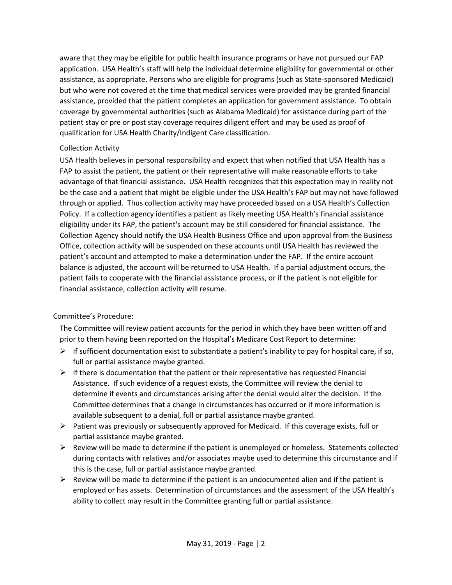aware that they may be eligible for public health insurance programs or have not pursued our FAP application. USA Health's staff will help the individual determine eligibility for governmental or other assistance, as appropriate. Persons who are eligible for programs (such as State-sponsored Medicaid) but who were not covered at the time that medical services were provided may be granted financial assistance, provided that the patient completes an application for government assistance. To obtain coverage by governmental authorities (such as Alabama Medicaid) for assistance during part of the patient stay or pre or post stay coverage requires diligent effort and may be used as proof of qualification for USA Health Charity/Indigent Care classification.

#### Collection Activity

USA Health believes in personal responsibility and expect that when notified that USA Health has a FAP to assist the patient, the patient or their representative will make reasonable efforts to take advantage of that financial assistance. USA Health recognizes that this expectation may in reality not be the case and a patient that might be eligible under the USA Health's FAP but may not have followed through or applied. Thus collection activity may have proceeded based on a USA Health's Collection Policy. If a collection agency identifies a patient as likely meeting USA Health's financial assistance eligibility under its FAP, the patient's account may be still considered for financial assistance. The Collection Agency should notify the USA Health Business Office and upon approval from the Business Office, collection activity will be suspended on these accounts until USA Health has reviewed the patient's account and attempted to make a determination under the FAP. If the entire account balance is adjusted, the account will be returned to USA Health. If a partial adjustment occurs, the patient fails to cooperate with the financial assistance process, or if the patient is not eligible for financial assistance, collection activity will resume.

#### Committee's Procedure:

The Committee will review patient accounts for the period in which they have been written off and prior to them having been reported on the Hospital's Medicare Cost Report to determine:

- $\triangleright$  If sufficient documentation exist to substantiate a patient's inability to pay for hospital care, if so, full or partial assistance maybe granted.
- $\triangleright$  If there is documentation that the patient or their representative has requested Financial Assistance. If such evidence of a request exists, the Committee will review the denial to determine if events and circumstances arising after the denial would alter the decision. If the Committee determines that a change in circumstances has occurred or if more information is available subsequent to a denial, full or partial assistance maybe granted.
- $\triangleright$  Patient was previously or subsequently approved for Medicaid. If this coverage exists, full or partial assistance maybe granted.
- $\triangleright$  Review will be made to determine if the patient is unemployed or homeless. Statements collected during contacts with relatives and/or associates maybe used to determine this circumstance and if this is the case, full or partial assistance maybe granted.
- $\triangleright$  Review will be made to determine if the patient is an undocumented alien and if the patient is employed or has assets. Determination of circumstances and the assessment of the USA Health's ability to collect may result in the Committee granting full or partial assistance.